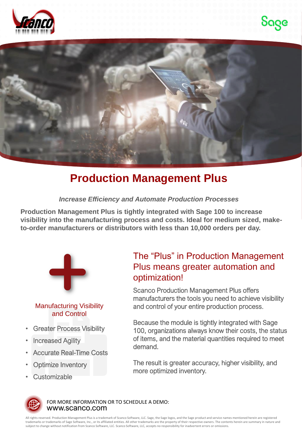





## **Production Management Plus**

*Increase Efficiency and Automate Production Processes*

**Production Management Plus is tightly integrated with Sage 100 to increase visibility into the manufacturing process and costs. Ideal for medium sized, maketo-order manufacturers or distributors with less than 10,000 orders per day.**



#### Manufacturing Visibility and Control

- **Greater Process Visibility**
- **Increased Agility**
- Accurate Real-Time Costs
- **Optimize Inventory**
- Customizable

### The "Plus" in Production Management Plus means greater automation and optimization!

Scanco Production Management Plus offers manufacturers the tools you need to achieve visibility and control of your entire production process.

Because the module is tightly integrated with Sage 100, organizations always know their costs, the status of items, and the material quantities required to meet demand.

The result is greater accuracy, higher visibility, and more optimized inventory.



www.scanco.com FOR MORE INFORMATION OR TO SCHEDULE A DEMO:

All rights reserved. Production Management Plus is a trademark of Scanco Software, LLC. Sage, the Sage logos, and the Sage product and service names mentioned herein are registered trademarks or trademarks of Sage Software, Inc., or its affiliated entities. All other trademarks are the property of their respective owners. The contents herein are summary in nature and subject to change without notification from Scanco Software, LLC. Scanco Software, LLC, accepts no responsibility for inadvertent errors or omissions.